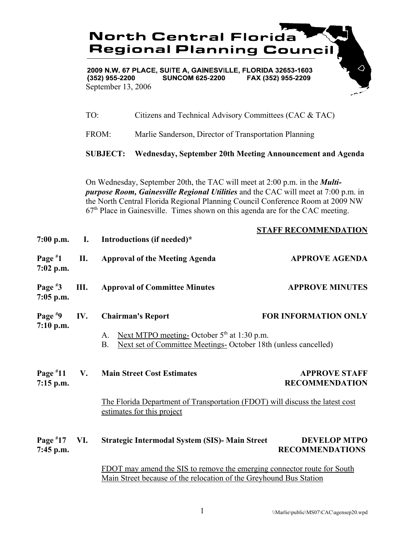

2009 N.W. 67 PLACE, SUITE A, GAINESVILLE, FLORIDA 32653-1603  $(352)$  955-2200 **SUNCOM 625-2200** FAX (352) 955-2209 September 13, 2006

TO: Citizens and Technical Advisory Committees (CAC & TAC)

FROM: Marlie Sanderson, Director of Transportation Planning

**SUBJECT: Wednesday, September 20th Meeting Announcement and Agenda**

On Wednesday, September 20th, the TAC will meet at 2:00 p.m. in the *Multipurpose Room, Gainesville Regional Utilities* and the CAC will meet at 7:00 p.m. in the North Central Florida Regional Planning Council Conference Room at 2009 NW  $67<sup>th</sup>$  Place in Gainesville. Times shown on this agenda are for the CAC meeting.

| $7:00$ p.m.               | $\mathbf{I}$ . | Introductions (if needed)*                                                                                                                    | <b>STAFF RECOMMENDATION</b>                   |
|---------------------------|----------------|-----------------------------------------------------------------------------------------------------------------------------------------------|-----------------------------------------------|
| Page $*1$<br>$7:02$ p.m.  | II.            | <b>Approval of the Meeting Agenda</b>                                                                                                         | <b>APPROVE AGENDA</b>                         |
| Page $*3$<br>$7:05$ p.m.  | Ш.             | <b>Approval of Committee Minutes</b>                                                                                                          | <b>APPROVE MINUTES</b>                        |
| Page $*9$<br>$7:10$ p.m.  | IV.            | <b>Chairman's Report</b>                                                                                                                      | <b>FOR INFORMATION ONLY</b>                   |
|                           |                | Next MTPO meeting- October $5th$ at 1:30 p.m.<br>A.<br>Next set of Committee Meetings-October 18th (unless cancelled)<br><b>B.</b>            |                                               |
| Page $*11$<br>$7:15$ p.m. | V.             | <b>Main Street Cost Estimates</b>                                                                                                             | <b>APPROVE STAFF</b><br><b>RECOMMENDATION</b> |
|                           |                | The Florida Department of Transportation (FDOT) will discuss the latest cost<br>estimates for this project                                    |                                               |
| Page $*17$<br>7:45 p.m.   | VI.            | <b>Strategic Intermodal System (SIS)- Main Street</b>                                                                                         | <b>DEVELOP MTPO</b><br><b>RECOMMENDATIONS</b> |
|                           |                | FDOT may amend the SIS to remove the emerging connector route for South<br>Main Street because of the relocation of the Greyhound Bus Station |                                               |